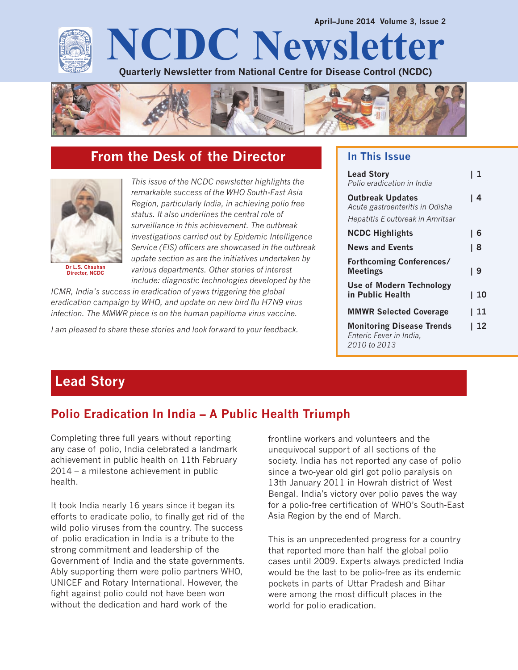



# **From the Desk of the Director**



**Dr L.S. Chauhan Director, NCDC**

*This issue of the NCDC newsletter highlights the remarkable success of the WHO South-East Asia Region, particularly India, in achieving polio free status. It also underlines the central role of surveillance in this achievement. The outbreak investigations carried out by Epidemic Intelligence Service (EIS) officers are showcased in the outbreak update section as are the initiatives undertaken by various departments. Other stories of interest include: diagnostic technologies developed by the*

*ICMR, India's success in eradication of yaws triggering the global eradication campaign by WHO, and update on new bird flu H7N9 virus infection. The MMWR piece is on the human papilloma virus vaccine.*

*I am pleased to share these stories and look forward to your feedback.*

### **In This Issue**

| <b>Lead Story</b><br>Polio eradication in India                                                | l 1  |
|------------------------------------------------------------------------------------------------|------|
| <b>Outbreak Updates</b><br>Acute gastroenteritis in Odisha<br>Hepatitis E outbreak in Amritsar | l 4  |
| <b>NCDC Highlights</b>                                                                         | l 6  |
| <b>News and Events</b>                                                                         | l 8  |
| <b>Forthcoming Conferences/</b><br><b>Meetings</b>                                             | l 9  |
| Use of Modern Technology<br>in Public Health                                                   | l 10 |
| <b>MMWR Selected Coverage</b>                                                                  | -11  |
| <b>Monitoring Disease Trends</b><br>Enteric Fever in India,<br>2010 to 2013                    | 12   |

# **Lead Story**

# **Polio Eradication In India – A Public Health Triumph**

Completing three full years without reporting any case of polio, India celebrated a landmark achievement in public health on 11th February 2014 – a milestone achievement in public health.

It took India nearly 16 years since it began its efforts to eradicate polio, to finally get rid of the wild polio viruses from the country. The success of polio eradication in India is a tribute to the strong commitment and leadership of the Government of India and the state governments. Ably supporting them were polio partners WHO, UNICEF and Rotary International. However, the fight against polio could not have been won without the dedication and hard work of the

frontline workers and volunteers and the unequivocal support of all sections of the society. India has not reported any case of polio since a two-year old girl got polio paralysis on 13th January 2011 in Howrah district of West Bengal. India's victory over polio paves the way for a polio-free certification of WHO's South-East Asia Region by the end of March.

This is an unprecedented progress for a country that reported more than half the global polio cases until 2009. Experts always predicted India would be the last to be polio-free as its endemic pockets in parts of Uttar Pradesh and Bihar were among the most difficult places in the world for polio eradication.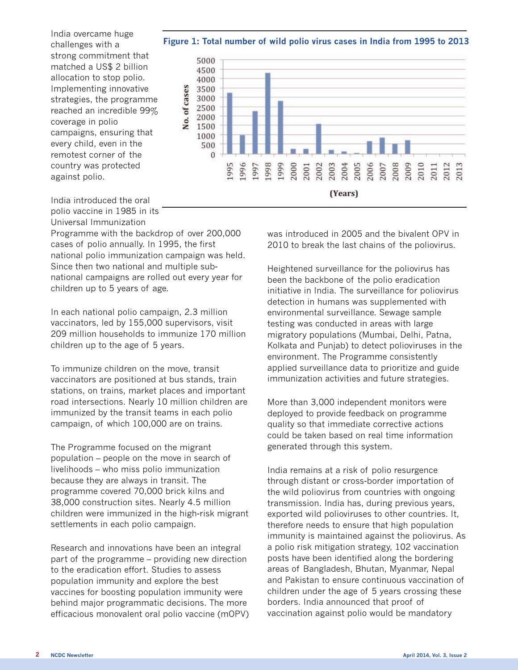**Figure 1: Total number of wild polio virus cases in India from 1995 to 2013**

India overcame huge challenges with a strong commitment that matched a US\$ 2 billion allocation to stop polio. Implementing innovative strategies, the programme reached an incredible 99% coverage in polio campaigns, ensuring that every child, even in the remotest corner of the country was protected against polio.



India introduced the oral polio vaccine in 1985 in its Universal Immunization

Programme with the backdrop of over 200,000 cases of polio annually. In 1995, the first national polio immunization campaign was held. Since then two national and multiple subnational campaigns are rolled out every year for children up to 5 years of age.

In each national polio campaign, 2.3 million vaccinators, led by 155,000 supervisors, visit 209 million households to immunize 170 million children up to the age of 5 years.

To immunize children on the move, transit vaccinators are positioned at bus stands, train stations, on trains, market places and important road intersections. Nearly 10 million children are immunized by the transit teams in each polio campaign, of which 100,000 are on trains.

The Programme focused on the migrant population – people on the move in search of livelihoods – who miss polio immunization because they are always in transit. The programme covered 70,000 brick kilns and 38,000 construction sites. Nearly 4.5 million children were immunized in the high-risk migrant settlements in each polio campaign.

Research and innovations have been an integral part of the programme – providing new direction to the eradication effort. Studies to assess population immunity and explore the best vaccines for boosting population immunity were behind major programmatic decisions. The more efficacious monovalent oral polio vaccine (mOPV) was introduced in 2005 and the bivalent OPV in 2010 to break the last chains of the poliovirus.

Heightened surveillance for the poliovirus has been the backbone of the polio eradication initiative in India. The surveillance for poliovirus detection in humans was supplemented with environmental surveillance. Sewage sample testing was conducted in areas with large migratory populations (Mumbai, Delhi, Patna, Kolkata and Punjab) to detect polioviruses in the environment. The Programme consistently applied surveillance data to prioritize and guide immunization activities and future strategies.

More than 3,000 independent monitors were deployed to provide feedback on programme quality so that immediate corrective actions could be taken based on real time information generated through this system.

India remains at a risk of polio resurgence through distant or cross-border importation of the wild poliovirus from countries with ongoing transmission. India has, during previous years, exported wild polioviruses to other countries. It, therefore needs to ensure that high population immunity is maintained against the poliovirus. As a polio risk mitigation strategy, 102 vaccination posts have been identified along the bordering areas of Bangladesh, Bhutan, Myanmar, Nepal and Pakistan to ensure continuous vaccination of children under the age of 5 years crossing these borders. India announced that proof of vaccination against polio would be mandatory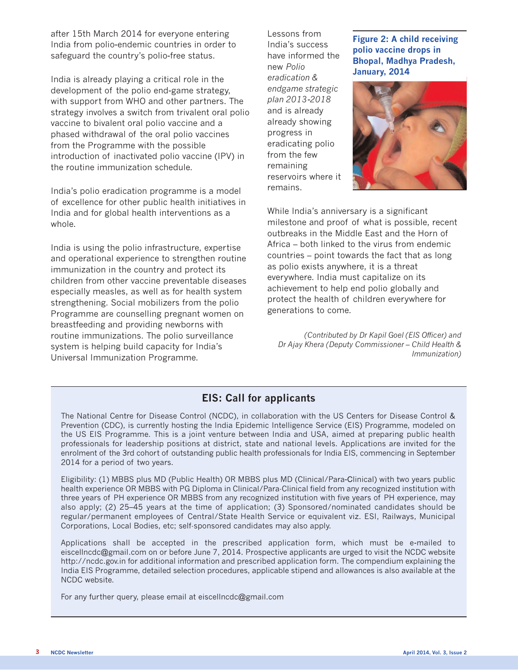after 15th March 2014 for everyone entering India from polio-endemic countries in order to safeguard the country's polio-free status.

India is already playing a critical role in the development of the polio end-game strategy, with support from WHO and other partners. The strategy involves a switch from trivalent oral polio vaccine to bivalent oral polio vaccine and a phased withdrawal of the oral polio vaccines from the Programme with the possible introduction of inactivated polio vaccine (IPV) in the routine immunization schedule.

India's polio eradication programme is a model of excellence for other public health initiatives in India and for global health interventions as a whole.

India is using the polio infrastructure, expertise and operational experience to strengthen routine immunization in the country and protect its children from other vaccine preventable diseases especially measles, as well as for health system strengthening. Social mobilizers from the polio Programme are counselling pregnant women on breastfeeding and providing newborns with routine immunizations. The polio surveillance system is helping build capacity for India's Universal Immunization Programme.

Lessons from India's success have informed the new *Polio eradication & endgame strategic plan 2013-2018* and is already already showing progress in eradicating polio from the few remaining reservoirs where it remains.

#### **Figure 2: A child receiving polio vaccine drops in Bhopal, Madhya Pradesh, January, 2014**



While India's anniversary is a significant milestone and proof of what is possible, recent outbreaks in the Middle East and the Horn of Africa – both linked to the virus from endemic countries – point towards the fact that as long as polio exists anywhere, it is a threat everywhere. India must capitalize on its achievement to help end polio globally and protect the health of children everywhere for generations to come.

*(Contributed by Dr Kapil Goel (EIS Officer) and Dr Ajay Khera (Deputy Commissioner – Child Health & Immunization)*

## **EIS: Call for applicants**

The National Centre for Disease Control (NCDC), in collaboration with the US Centers for Disease Control & Prevention (CDC), is currently hosting the India Epidemic Intelligence Service (EIS) Programme, modeled on the US EIS Programme. This is a joint venture between India and USA, aimed at preparing public health professionals for leadership positions at district, state and national levels. Applications are invited for the enrolment of the 3rd cohort of outstanding public health professionals for India EIS, commencing in September 2014 for a period of two years.

Eligibility: (1) MBBS plus MD (Public Health) OR MBBS plus MD (Clinical/Para-Clinical) with two years public health experience OR MBBS with PG Diploma in Clinical/Para-Clinical field from any recognized institution with three years of PH experience OR MBBS from any recognized institution with five years of PH experience, may also apply; (2) 25–45 years at the time of application; (3) Sponsored/nominated candidates should be regular/permanent employees of Central/State Health Service or equivalent viz. ESI, Railways, Municipal Corporations, Local Bodies, etc; self-sponsored candidates may also apply.

Applications shall be accepted in the prescribed application form, which must be e-mailed to eiscellncdc@gmail.com on or before June 7, 2014. Prospective applicants are urged to visit the NCDC website http://ncdc.gov.in for additional information and prescribed application form. The compendium explaining the India EIS Programme, detailed selection procedures, applicable stipend and allowances is also available at the NCDC website.

For any further query, please email at eiscellncdc@gmail.com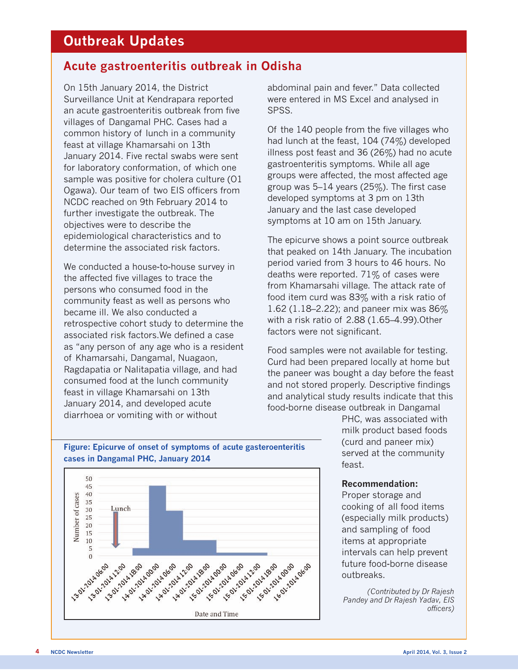# **Outbreak Updates**

## **Acute gastroenteritis outbreak in Odisha**

On 15th January 2014, the District Surveillance Unit at Kendrapara reported an acute gastroenteritis outbreak from five villages of Dangamal PHC. Cases had a common history of lunch in a community feast at village Khamarsahi on 13th January 2014. Five rectal swabs were sent for laboratory conformation, of which one sample was positive for cholera culture (O1 Ogawa). Our team of two EIS officers from NCDC reached on 9th February 2014 to further investigate the outbreak. The objectives were to describe the epidemiological characteristics and to determine the associated risk factors.

We conducted a house-to-house survey in the affected five villages to trace the persons who consumed food in the community feast as well as persons who became ill. We also conducted a retrospective cohort study to determine the associated risk factors.We defined a case as "any person of any age who is a resident of Khamarsahi, Dangamal, Nuagaon, Ragdapatia or Nalitapatia village, and had consumed food at the lunch community feast in village Khamarsahi on 13th January 2014, and developed acute diarrhoea or vomiting with or without

abdominal pain and fever." Data collected were entered in MS Excel and analysed in SPSS.

Of the 140 people from the five villages who had lunch at the feast, 104 (74%) developed illness post feast and 36 (26%) had no acute gastroenteritis symptoms. While all age groups were affected, the most affected age group was 5–14 years (25%). The first case developed symptoms at 3 pm on 13th January and the last case developed symptoms at 10 am on 15th January.

The epicurve shows a point source outbreak that peaked on 14th January. The incubation period varied from 3 hours to 46 hours. No deaths were reported. 71% of cases were from Khamarsahi village. The attack rate of food item curd was 83% with a risk ratio of 1.62 (1.18–2.22); and paneer mix was 86% with a risk ratio of 2.88 (1.65–4.99).Other factors were not significant.

Food samples were not available for testing. Curd had been prepared locally at home but the paneer was bought a day before the feast and not stored properly. Descriptive findings and analytical study results indicate that this food-borne disease outbreak in Dangamal

> PHC, was associated with milk product based foods (curd and paneer mix) served at the community feast.

#### **Recommendation:**

Proper storage and cooking of all food items (especially milk products) and sampling of food items at appropriate intervals can help prevent future food-borne disease outbreaks.

*(Contributed by Dr Rajesh Pandey and Dr Rajesh Yadav, EIS officers)*

#### **Figure: Epicurve of onset of symptoms of acute gasteroenteritis cases in Dangamal PHC, January 2014**

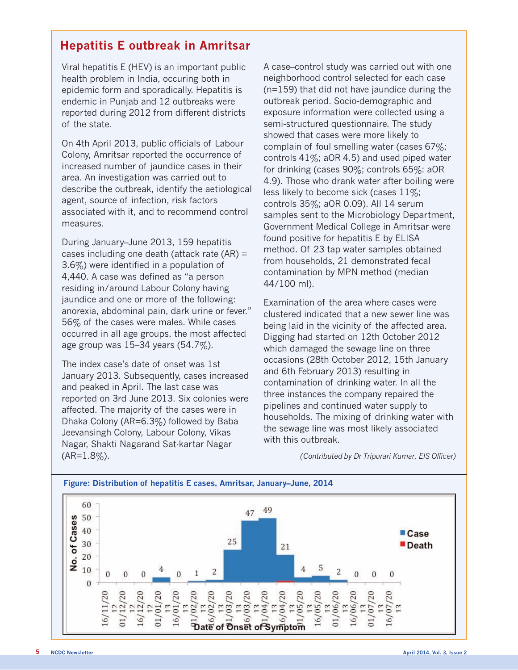## **Hepatitis E outbreak in Amritsar**

Viral hepatitis E (HEV) is an important public health problem in India, occuring both in epidemic form and sporadically. Hepatitis is endemic in Punjab and 12 outbreaks were reported during 2012 from different districts of the state.

On 4th April 2013, public officials of Labour Colony, Amritsar reported the occurrence of increased number of jaundice cases in their area. An investigation was carried out to describe the outbreak, identify the aetiological agent, source of infection, risk factors associated with it, and to recommend control measures.

During January–June 2013, 159 hepatitis cases including one death (attack rate (AR) = 3.6%) were identified in a population of 4,440. A case was defined as "a person residing in/around Labour Colony having jaundice and one or more of the following: anorexia, abdominal pain, dark urine or fever." 56% of the cases were males. While cases occurred in all age groups, the most affected age group was 15–34 years (54.7%).

The index case's date of onset was 1st January 2013. Subsequently, cases increased and peaked in April. The last case was reported on 3rd June 2013. Six colonies were affected. The majority of the cases were in Dhaka Colony (AR=6.3%) followed by Baba Jeevansingh Colony, Labour Colony, Vikas Nagar, Shakti Nagarand Sat-kartar Nagar  $(AR=1.8\%)$ .

A case–control study was carried out with one neighborhood control selected for each case (n=159) that did not have jaundice during the outbreak period. Socio-demographic and exposure information were collected using a semi-structured questionnaire. The study showed that cases were more likely to complain of foul smelling water (cases 67%; controls  $41\%$ ; aOR 4.5) and used piped water for drinking (cases 90%; controls 65%: aOR 4.9). Those who drank water after boiling were less likely to become sick (cases 11%; controls 35%; aOR 0.09). All 14 serum samples sent to the Microbiology Department, Government Medical College in Amritsar were found positive for hepatitis E by ELISA method. Of 23 tap water samples obtained from households, 21 demonstrated fecal contamination by MPN method (median 44/100 ml).

Examination of the area where cases were clustered indicated that a new sewer line was being laid in the vicinity of the affected area. Digging had started on 12th October 2012 which damaged the sewage line on three occasions (28th October 2012, 15th January and 6th February 2013) resulting in contamination of drinking water. In all the three instances the company repaired the pipelines and continued water supply to households. The mixing of drinking water with the sewage line was most likely associated with this outbreak.

*(Contributed by Dr Tripurari Kumar, EIS Officer)*

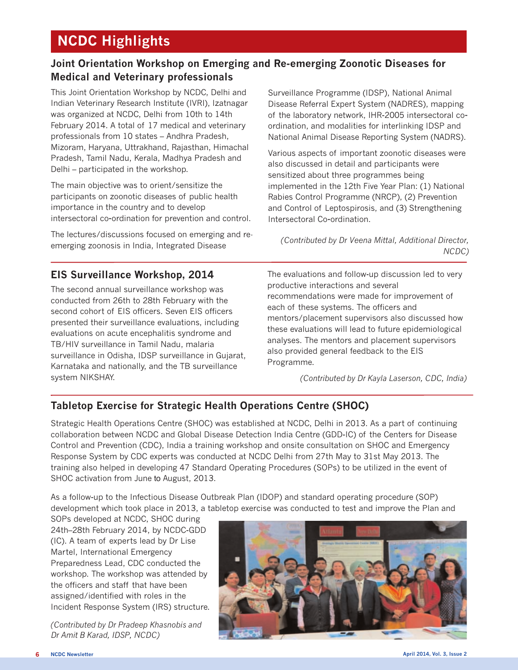# **NCDC Highlights**

## **Joint Orientation Workshop on Emerging and Re-emerging Zoonotic Diseases for Medical and Veterinary professionals**

This Joint Orientation Workshop by NCDC, Delhi and Indian Veterinary Research Institute (IVRI), Izatnagar was organized at NCDC, Delhi from 10th to 14th February 2014. A total of 17 medical and veterinary professionals from 10 states – Andhra Pradesh, Mizoram, Haryana, Uttrakhand, Rajasthan, Himachal Pradesh, Tamil Nadu, Kerala, Madhya Pradesh and Delhi – participated in the workshop.

The main objective was to orient/sensitize the participants on zoonotic diseases of public health importance in the country and to develop intersectoral co-ordination for prevention and control.

The lectures/discussions focused on emerging and reemerging zoonosis in India, Integrated Disease

## **EIS Surveillance Workshop, 2014**

The second annual surveillance workshop was conducted from 26th to 28th February with the second cohort of EIS officers. Seven EIS officers presented their surveillance evaluations, including evaluations on acute encephalitis syndrome and TB/HIV surveillance in Tamil Nadu, malaria surveillance in Odisha, IDSP surveillance in Gujarat, Karnataka and nationally, and the TB surveillance system NIKSHAY.

Surveillance Programme (IDSP), National Animal Disease Referral Expert System (NADRES), mapping of the laboratory network, IHR-2005 intersectoral coordination, and modalities for interlinking IDSP and National Animal Disease Reporting System (NADRS).

Various aspects of important zoonotic diseases were also discussed in detail and participants were sensitized about three programmes being implemented in the 12th Five Year Plan: (1) National Rabies Control Programme (NRCP), (2) Prevention and Control of Leptospirosis, and (3) Strengthening Intersectoral Co-ordination.

*(Contributed by Dr Veena Mittal, Additional Director, NCDC)*

The evaluations and follow-up discussion led to very productive interactions and several recommendations were made for improvement of each of these systems. The officers and mentors/placement supervisors also discussed how these evaluations will lead to future epidemiological analyses. The mentors and placement supervisors also provided general feedback to the EIS Programme.

*(Contributed by Dr Kayla Laserson, CDC, India)*

## **Tabletop Exercise for Strategic Health Operations Centre (SHOC)**

Strategic Health Operations Centre (SHOC) was established at NCDC, Delhi in 2013. As a part of continuing collaboration between NCDC and Global Disease Detection India Centre (GDD-IC) of the Centers for Disease Control and Prevention (CDC), India a training workshop and onsite consultation on SHOC and Emergency Response System by CDC experts was conducted at NCDC Delhi from 27th May to 31st May 2013. The training also helped in developing 47 Standard Operating Procedures (SOPs) to be utilized in the event of SHOC activation from June to August, 2013.

As a follow-up to the Infectious Disease Outbreak Plan (IDOP) and standard operating procedure (SOP) development which took place in 2013, a tabletop exercise was conducted to test and improve the Plan and

SOPs developed at NCDC, SHOC during 24th–28th February 2014, by NCDC-GDD (IC). A team of experts lead by Dr Lise Martel, International Emergency Preparedness Lead, CDC conducted the workshop. The workshop was attended by the officers and staff that have been assigned/identified with roles in the Incident Response System (IRS) structure.

*(Contributed by Dr Pradeep Khasnobis and Dr Amit B Karad, IDSP, NCDC)*

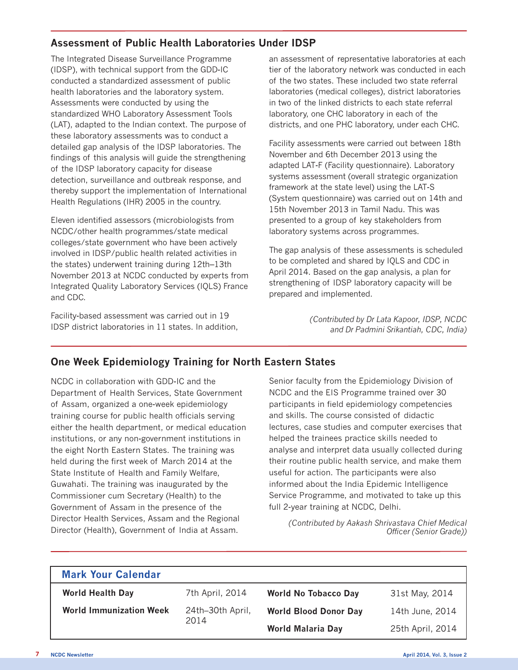## **Assessment of Public Health Laboratories Under IDSP**

The Integrated Disease Surveillance Programme (IDSP), with technical support from the GDD-IC conducted a standardized assessment of public health laboratories and the laboratory system. Assessments were conducted by using the standardized WHO Laboratory Assessment Tools (LAT), adapted to the Indian context. The purpose of these laboratory assessments was to conduct a detailed gap analysis of the IDSP laboratories. The findings of this analysis will guide the strengthening of the IDSP laboratory capacity for disease detection, surveillance and outbreak response, and thereby support the implementation of International Health Regulations (IHR) 2005 in the country.

Eleven identified assessors (microbiologists from NCDC/other health programmes/state medical colleges/state government who have been actively involved in IDSP/public health related activities in the states) underwent training during 12th–13th November 2013 at NCDC conducted by experts from Integrated Quality Laboratory Services (IQLS) France and CDC.

Facility-based assessment was carried out in 19 IDSP district laboratories in 11 states. In addition, an assessment of representative laboratories at each tier of the laboratory network was conducted in each of the two states. These included two state referral laboratories (medical colleges), district laboratories in two of the linked districts to each state referral laboratory, one CHC laboratory in each of the districts, and one PHC laboratory, under each CHC.

Facility assessments were carried out between 18th November and 6th December 2013 using the adapted LAT-F (Facility questionnaire). Laboratory systems assessment (overall strategic organization framework at the state level) using the LAT-S (System questionnaire) was carried out on 14th and 15th November 2013 in Tamil Nadu. This was presented to a group of key stakeholders from laboratory systems across programmes.

The gap analysis of these assessments is scheduled to be completed and shared by IQLS and CDC in April 2014. Based on the gap analysis, a plan for strengthening of IDSP laboratory capacity will be prepared and implemented.

> *(Contributed by Dr Lata Kapoor, IDSP, NCDC and Dr Padmini Srikantiah, CDC, India)*

## **One Week Epidemiology Training for North Eastern States**

NCDC in collaboration with GDD-IC and the Department of Health Services, State Government of Assam, organized a one-week epidemiology training course for public health officials serving either the health department, or medical education institutions, or any non-government institutions in the eight North Eastern States. The training was held during the first week of March 2014 at the State Institute of Health and Family Welfare, Guwahati. The training was inaugurated by the Commissioner cum Secretary (Health) to the Government of Assam in the presence of the Director Health Services, Assam and the Regional Director (Health), Government of India at Assam.

Senior faculty from the Epidemiology Division of NCDC and the EIS Programme trained over 30 participants in field epidemiology competencies and skills. The course consisted of didactic lectures, case studies and computer exercises that helped the trainees practice skills needed to analyse and interpret data usually collected during their routine public health service, and make them useful for action. The participants were also informed about the India Epidemic Intelligence Service Programme, and motivated to take up this full 2-year training at NCDC, Delhi.

*(Contributed by Aakash Shrivastava Chief Medical Officer (Senior Grade))*

| <b>Mark Your Calendar</b>      |                          |                              |                  |
|--------------------------------|--------------------------|------------------------------|------------------|
| <b>World Health Day</b>        | 7th April, 2014          | <b>World No Tobacco Day</b>  | 31st May, 2014   |
| <b>World Immunization Week</b> | 24th-30th April,<br>2014 | <b>World Blood Donor Day</b> | 14th June, 2014  |
|                                |                          | <b>World Malaria Day</b>     | 25th April, 2014 |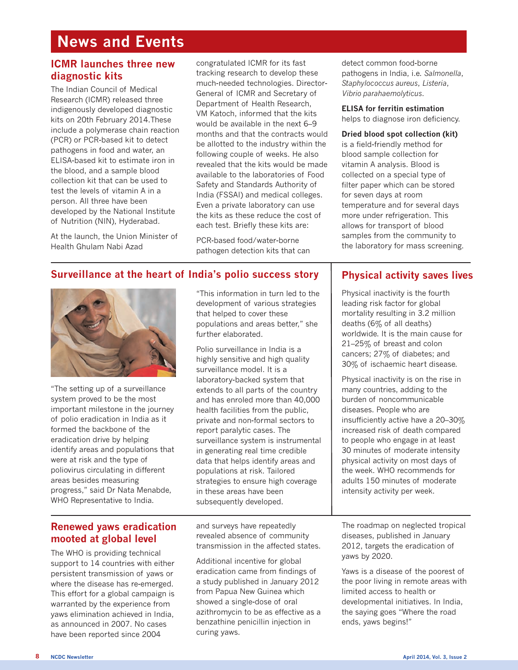# **News and Events**

### **ICMR launches three new diagnostic kits**

The Indian Council of Medical Research (ICMR) released three indigenously developed diagnostic kits on 20th February 2014.These include a polymerase chain reaction (PCR) or PCR-based kit to detect pathogens in food and water, an ELISA-based kit to estimate iron in the blood, and a sample blood collection kit that can be used to test the levels of vitamin A in a person. All three have been developed by the National Institute of Nutrition (NIN), Hyderabad.

At the launch, the Union Minister of Health Ghulam Nabi Azad

congratulated ICMR for its fast tracking research to develop these much-needed technologies. Director-General of ICMR and Secretary of Department of Health Research, VM Katoch, informed that the kits would be available in the next 6–9 months and that the contracts would be allotted to the industry within the following couple of weeks. He also revealed that the kits would be made available to the laboratories of Food Safety and Standards Authority of India (FSSAI) and medical colleges. Even a private laboratory can use the kits as these reduce the cost of each test. Briefly these kits are:

PCR-based food/water-borne pathogen detection kits that can detect common food-borne pathogens in India, i.e. *Salmonella*, *Staphylococcus aureus*, *Listeria*, *Vibrio parahaemolyticus*.

**ELISA for ferritin estimation** helps to diagnose iron deficiency.

#### **Dried blood spot collection (kit)**

is a field-friendly method for blood sample collection for vitamin A analysis. Blood is collected on a special type of filter paper which can be stored for seven days at room temperature and for several days more under refrigeration. This allows for transport of blood samples from the community to the laboratory for mass screening.

### **Surveillance at the heart of India's polio success story**



"The setting up of a surveillance system proved to be the most important milestone in the journey of polio eradication in India as it formed the backbone of the eradication drive by helping identify areas and populations that were at risk and the type of poliovirus circulating in different areas besides measuring progress," said Dr Nata Menabde, WHO Representative to India.

"This information in turn led to the development of various strategies that helped to cover these populations and areas better," she further elaborated.

Polio surveillance in India is a highly sensitive and high quality surveillance model. It is a laboratory-backed system that extends to all parts of the country and has enroled more than 40,000 health facilities from the public, private and non-formal sectors to report paralytic cases. The surveillance system is instrumental in generating real time credible data that helps identify areas and populations at risk. Tailored strategies to ensure high coverage in these areas have been subsequently developed.

#### **Renewed yaws eradication mooted at global level**

The WHO is providing technical support to 14 countries with either persistent transmission of yaws or where the disease has re-emerged. This effort for a global campaign is warranted by the experience from yaws elimination achieved in India, as announced in 2007. No cases have been reported since 2004

and surveys have repeatedly revealed absence of community transmission in the affected states.

Additional incentive for global eradication came from findings of a study published in January 2012 from Papua New Guinea which showed a single-dose of oral azithromycin to be as effective as a benzathine penicillin injection in curing yaws.

### **Physical activity saves lives**

Physical inactivity is the fourth leading risk factor for global mortality resulting in 3.2 million deaths (6% of all deaths) worldwide. It is the main cause for 21–25% of breast and colon cancers; 27% of diabetes; and 30% of ischaemic heart disease.

Physical inactivity is on the rise in many countries, adding to the burden of noncommunicable diseases. People who are insufficiently active have a 20–30% increased risk of death compared to people who engage in at least 30 minutes of moderate intensity physical activity on most days of the week. WHO recommends for adults 150 minutes of moderate intensity activity per week.

The roadmap on neglected tropical diseases, published in January 2012, targets the eradication of yaws by 2020.

Yaws is a disease of the poorest of the poor living in remote areas with limited access to health or developmental initiatives. In India, the saying goes "Where the road ends, yaws begins!"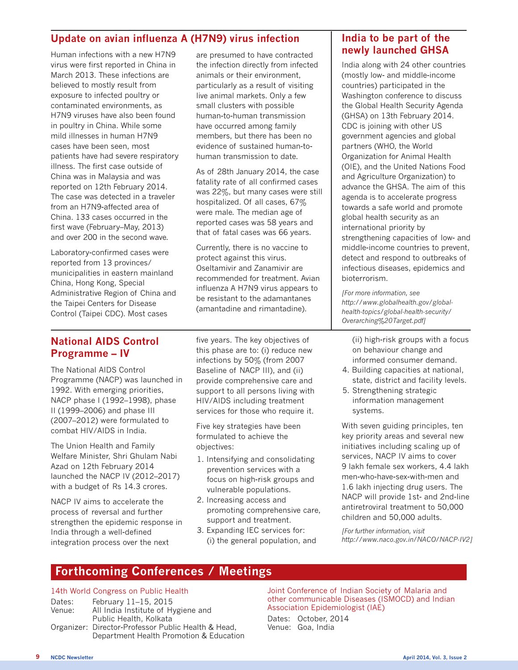## **Update on avian influenza A (H7N9) virus infection**

Human infections with a new H7N9 virus were first reported in China in March 2013. These infections are believed to mostly result from exposure to infected poultry or contaminated environments, as H7N9 viruses have also been found in poultry in China. While some mild illnesses in human H7N9 cases have been seen, most patients have had severe respiratory illness. The first case outside of China was in Malaysia and was reported on 12th February 2014. The case was detected in a traveler from an H7N9-affected area of China. 133 cases occurred in the first wave (February–May, 2013) and over 200 in the second wave.

Laboratory-confirmed cases were reported from 13 provinces/ municipalities in eastern mainland China, Hong Kong, Special Administrative Region of China and the Taipei Centers for Disease Control (Taipei CDC). Most cases

are presumed to have contracted the infection directly from infected animals or their environment, particularly as a result of visiting live animal markets. Only a few small clusters with possible human-to-human transmission have occurred among family members, but there has been no evidence of sustained human-tohuman transmission to date.

As of 28th January 2014, the case fatality rate of all confirmed cases was 22%, but many cases were still hospitalized. Of all cases, 67% were male. The median age of reported cases was 58 years and that of fatal cases was 66 years.

Currently, there is no vaccine to protect against this virus. Oseltamivir and Zanamivir are recommended for treatment. Avian influenza A H7N9 virus appears to be resistant to the adamantanes (amantadine and rimantadine).

#### **National AIDS Control Programme – IV**

The National AIDS Control Programme (NACP) was launched in 1992. With emerging priorities, NACP phase I (1992–1998), phase II (1999–2006) and phase III (2007–2012) were formulated to combat HIV/AIDS in India.

The Union Health and Family Welfare Minister, Shri Ghulam Nabi Azad on 12th February 2014 launched the NACP IV (2012–2017) with a budget of Rs 14.3 crores.

NACP IV aims to accelerate the process of reversal and further strengthen the epidemic response in India through a well-defined integration process over the next

five years. The key objectives of this phase are to: (i) reduce new infections by 50% (from 2007 Baseline of NACP III), and (ii) provide comprehensive care and support to all persons living with HIV/AIDS including treatment services for those who require it.

Five key strategies have been formulated to achieve the objectives:

- 1. Intensifying and consolidating prevention services with a focus on high-risk groups and vulnerable populations.
- 2. Increasing access and promoting comprehensive care, support and treatment.
- 3. Expanding IEC services for: (i) the general population, and

### **India to be part of the newly launched GHSA**

India along with 24 other countries (mostly low- and middle-income countries) participated in the Washington conference to discuss the Global Health Security Agenda (GHSA) on 13th February 2014. CDC is joining with other US government agencies and global partners (WHO, the World Organization for Animal Health (OIE), and the United Nations Food and Agriculture Organization) to advance the GHSA. The aim of this agenda is to accelerate progress towards a safe world and promote global health security as an international priority by strengthening capacities of low- and middle-income countries to prevent, detect and respond to outbreaks of infectious diseases, epidemics and bioterrorism.

*[For more information, see http://www.globalhealth.gov/globalhealth-topics/global-health-security/ Overarching%20Target.pdf]*

(ii) high-risk groups with a focus on behaviour change and informed consumer demand.

- 4. Building capacities at national, state, district and facility levels.
- 5. Strengthening strategic information management systems.

With seven guiding principles, ten key priority areas and several new initiatives including scaling up of services, NACP IV aims to cover 9 lakh female sex workers, 4.4 lakh men-who-have-sex-with-men and 1.6 lakh injecting drug users. The NACP will provide 1st- and 2nd-line antiretroviral treatment to 50,000 children and 50,000 adults.

*[For further information, visit http://www.naco.gov.in/NACO/NACP-IV2]*

## **Forthcoming Conferences / Meetings**

#### 14th World Congress on Public Health

| Dates: | February 11–15, 2015                                |
|--------|-----------------------------------------------------|
| Venue: | All India Institute of Hygiene and                  |
|        | Public Health, Kolkata                              |
|        | Organizer: Director-Professor Public Health & Head, |
|        | Department Health Promotion & Education             |
|        |                                                     |

Joint Conference of Indian Society of Malaria and other communicable Diseases (ISMOCD) and Indian Association Epidemiologist (IAE)

Dates: October, 2014 Venue: Goa, India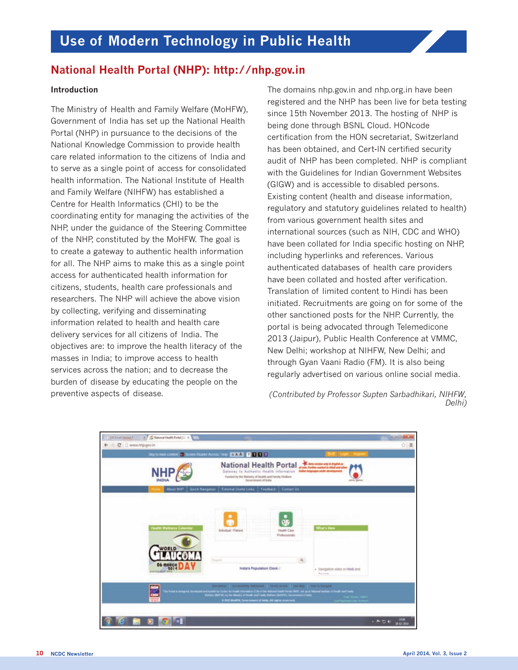## **National Health Portal (NHP): http://nhp.gov.in**

#### **Introduction**

The Ministry of Health and Family Welfare (MoHFW), Government of India has set up the National Health Portal (NHP) in pursuance to the decisions of the National Knowledge Commission to provide health care related information to the citizens of India and to serve as a single point of access for consolidated health information. The National Institute of Health and Family Welfare (NIHFW) has established a Centre for Health Informatics (CHI) to be the coordinating entity for managing the activities of the NHP, under the guidance of the Steering Committee of the NHP, constituted by the MoHFW. The goal is to create a gateway to authentic health information for all. The NHP aims to make this as a single point access for authenticated health information for citizens, students, health care professionals and researchers. The NHP will achieve the above vision by collecting, verifying and disseminating information related to health and health care delivery services for all citizens of India. The objectives are: to improve the health literacy of the masses in India; to improve access to health services across the nation; and to decrease the burden of disease by educating the people on the preventive aspects of disease.

The domains nhp.gov.in and nhp.org.in have been registered and the NHP has been live for beta testing since 15th November 2013. The hosting of NHP is being done through BSNL Cloud. HONcode certification from the HON secretariat, Switzerland has been obtained, and Cert-IN certified security audit of NHP has been completed. NHP is compliant with the Guidelines for Indian Government Websites (GIGW) and is accessible to disabled persons. Existing content (health and disease information, regulatory and statutory guidelines related to health) from various government health sites and international sources (such as NIH, CDC and WHO) have been collated for India specific hosting on NHP, including hyperlinks and references. Various authenticated databases of health care providers have been collated and hosted after verification. Translation of limited content to Hindi has been initiated. Recruitments are going on for some of the other sanctioned posts for the NHP. Currently, the portal is being advocated through Telemedicone 2013 (Jaipur), Public Health Conference at VMMC, New Delhi; workshop at NIHFW, New Delhi; and through Gyan Vaani Radio (FM). It is also being regularly advertised on various online social media.

#### *(Contributed by Professor Supten Sarbadhikari, NIHFW, Delhi)*

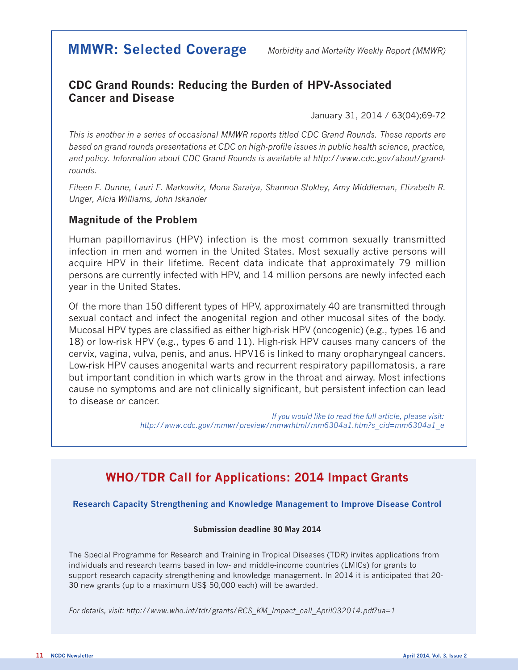# **MMWR: Selected Coverage** *Morbidity and Mortality Weekly Report (MMWR)*

## **CDC Grand Rounds: Reducing the Burden of HPV-Associated Cancer and Disease**

January 31, 2014 / 63(04);69-72

*This is another in a series of occasional MMWR reports titled CDC Grand Rounds. These reports are based on grand rounds presentations at CDC on high-profile issues in public health science, practice, and policy. Information about CDC Grand Rounds is available at http://www.cdc.gov/about/grandrounds.*

*Eileen F. Dunne, Lauri E. Markowitz, Mona Saraiya, Shannon Stokley, Amy Middleman, Elizabeth R. Unger, Alcia Williams, John Iskander*

#### **Magnitude of the Problem**

Human papillomavirus (HPV) infection is the most common sexually transmitted infection in men and women in the United States. Most sexually active persons will acquire HPV in their lifetime. Recent data indicate that approximately 79 million persons are currently infected with HPV, and 14 million persons are newly infected each year in the United States.

Of the more than 150 different types of HPV, approximately 40 are transmitted through sexual contact and infect the anogenital region and other mucosal sites of the body. Mucosal HPV types are classified as either high-risk HPV (oncogenic) (e.g., types 16 and 18) or low-risk HPV (e.g., types 6 and 11). High-risk HPV causes many cancers of the cervix, vagina, vulva, penis, and anus. HPV16 is linked to many oropharyngeal cancers. Low-risk HPV causes anogenital warts and recurrent respiratory papillomatosis, a rare but important condition in which warts grow in the throat and airway. Most infections cause no symptoms and are not clinically significant, but persistent infection can lead to disease or cancer.

> *If you would like to read the full article, please visit: http://www.cdc.gov/mmwr/preview/mmwrhtml/mm6304a1.htm?s\_cid=mm6304a1\_e*

# **WHO/TDR Call for Applications: 2014 Impact Grants**

#### **Research Capacity Strengthening and Knowledge Management to Improve Disease Control**

#### **Submission deadline 30 May 2014**

The Special Programme for Research and Training in Tropical Diseases (TDR) invites applications from individuals and research teams based in low- and middle-income countries (LMICs) for grants to support research capacity strengthening and knowledge management. In 2014 it is anticipated that 20- 30 new grants (up to a maximum US\$ 50,000 each) will be awarded.

*For details, visit: http://www.who.int/tdr/grants/RCS\_KM\_Impact\_call\_April032014.pdf?ua=1*